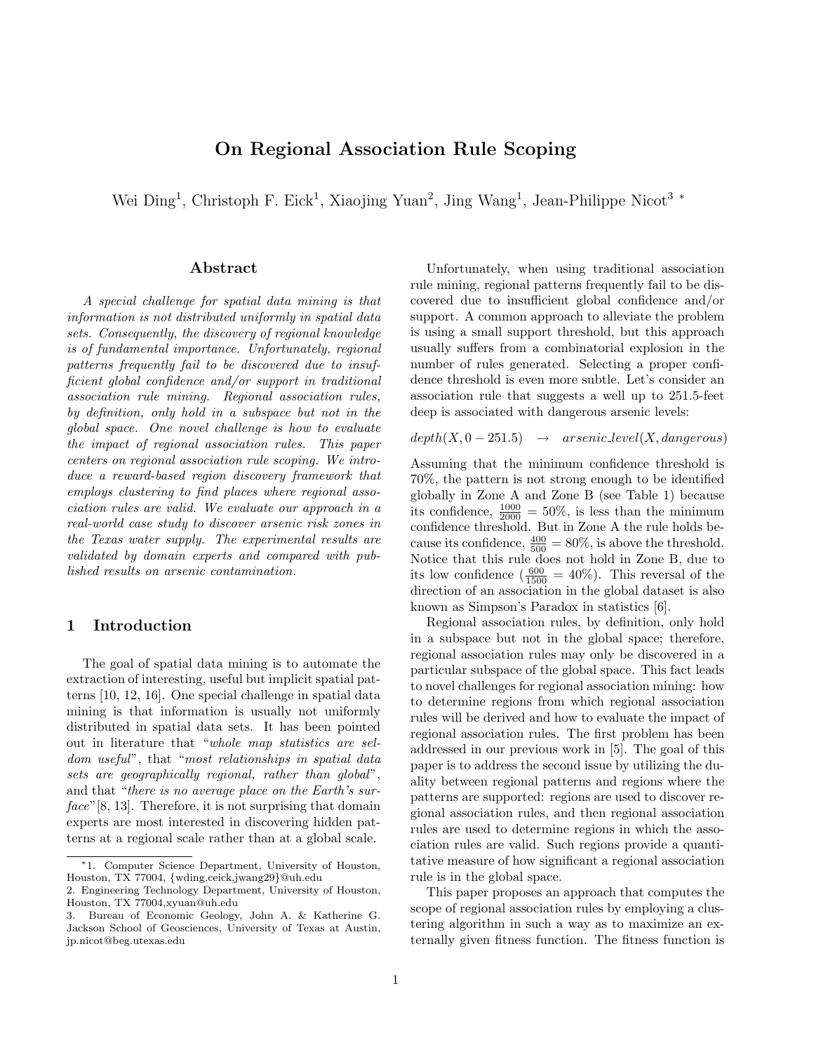# On Regional Association Rule Scoping

Wei Ding<sup>1</sup>, Christoph F. Eick<sup>1</sup>, Xiaojing Yuan<sup>2</sup>, Jing Wang<sup>1</sup>, Jean-Philippe Nicot<sup>3</sup><sup>\*</sup>

#### Abstract

A special challenge for spatial data mining is that information is not distributed uniformly in spatial data sets. Consequently, the discovery of regional knowledge is of fundamental importance. Unfortunately, regional patterns frequently fail to be discovered due to insufficient global confidence and/or support in traditional association rule mining. Regional association rules, by definition, only hold in a subspace but not in the global space. One novel challenge is how to evaluate the impact of regional association rules. This paper centers on regional association rule scoping. We introduce a reward-based region discovery framework that employs clustering to find places where regional association rules are valid. We evaluate our approach in a real-world case study to discover arsenic risk zones in the Texas water supply. The experimental results are validated by domain experts and compared with published results on arsenic contamination.

#### 1 Introduction

The goal of spatial data mining is to automate the extraction of interesting, useful but implicit spatial patterns [10, 12, 16]. One special challenge in spatial data mining is that information is usually not uniformly distributed in spatial data sets. It has been pointed out in literature that "whole map statistics are seldom useful", that "most relationships in spatial data sets are geographically regional, rather than global", and that "there is no average place on the Earth's surface"[8, 13]. Therefore, it is not surprising that domain experts are most interested in discovering hidden patterns at a regional scale rather than at a global scale.

Unfortunately, when using traditional association rule mining, regional patterns frequently fail to be discovered due to insufficient global confidence and/or support. A common approach to alleviate the problem is using a small support threshold, but this approach usually suffers from a combinatorial explosion in the number of rules generated. Selecting a proper confidence threshold is even more subtle. Let's consider an association rule that suggests a well up to 251.5-feet deep is associated with dangerous arsenic levels:

$$
depth(X, 0-251.5) \rightarrow arsenic\_level(X, dangerous)
$$

Assuming that the minimum confidence threshold is 70%, the pattern is not strong enough to be identified globally in Zone A and Zone B (see Table 1) because its confidence,  $\frac{1000}{2000} = 50\%$ , is less than the minimum confidence threshold. But in Zone A the rule holds because its confidence,  $\frac{400}{500} = 80\%$ , is above the threshold. Notice that this rule does not hold in Zone B, due to its low confidence  $\left(\frac{600}{1500} = 40\% \right)$ . This reversal of the direction of an association in the global dataset is also known as Simpson's Paradox in statistics [6].

Regional association rules, by definition, only hold in a subspace but not in the global space; therefore, regional association rules may only be discovered in a particular subspace of the global space. This fact leads to novel challenges for regional association mining: how to determine regions from which regional association rules will be derived and how to evaluate the impact of regional association rules. The first problem has been addressed in our previous work in [5]. The goal of this paper is to address the second issue by utilizing the duality between regional patterns and regions where the patterns are supported: regions are used to discover regional association rules, and then regional association rules are used to determine regions in which the association rules are valid. Such regions provide a quantitative measure of how significant a regional association rule is in the global space.

This paper proposes an approach that computes the scope of regional association rules by employing a clustering algorithm in such a way as to maximize an externally given fitness function. The fitness function is

<sup>∗</sup>1. Computer Science Department, University of Houston, Houston, TX 77004, {wding,ceick,jwang29}@uh.edu

<sup>2.</sup> Engineering Technology Department, University of Houston, Houston, TX 77004,xyuan@uh.edu

<sup>3.</sup> Bureau of Economic Geology, John A. & Katherine G. Jackson School of Geosciences, University of Texas at Austin, jp.nicot@beg.utexas.edu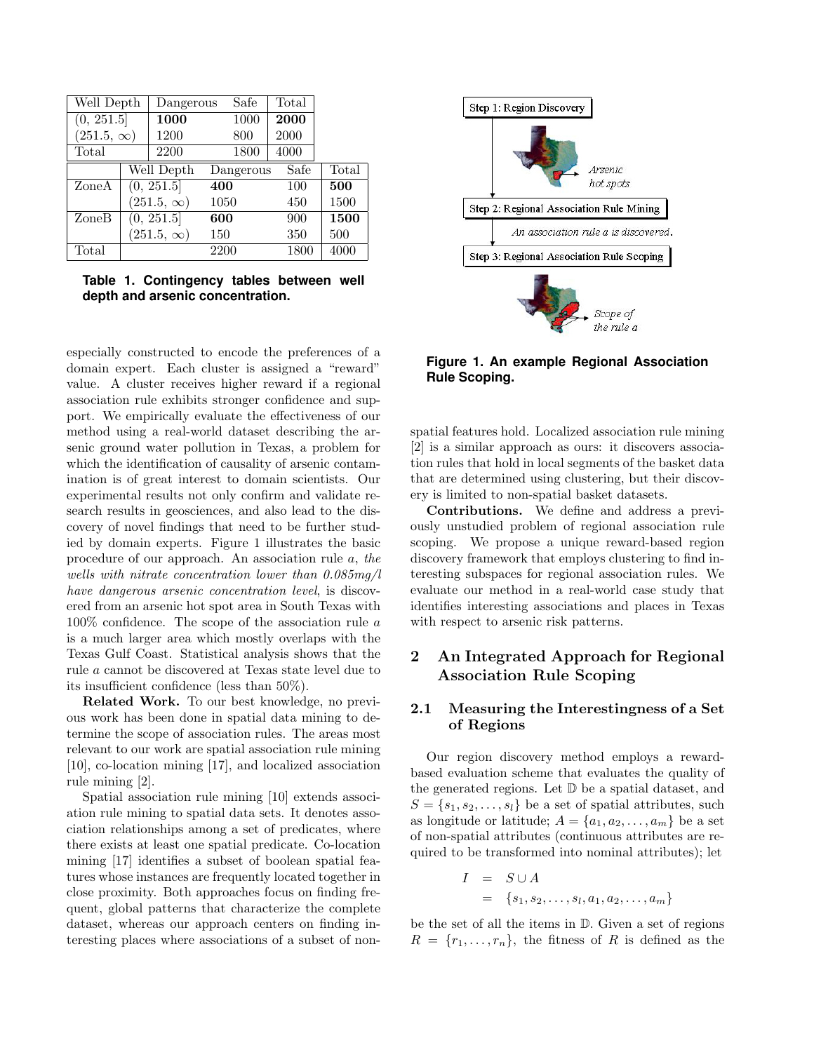| Well Depth        |                   | Dangerous         |      | Safe      | Total |     |       |
|-------------------|-------------------|-------------------|------|-----------|-------|-----|-------|
| (0, 251.5]        |                   | 1000              |      | 1000      | 2000  |     |       |
| $(251.5, \infty)$ |                   | 1200              |      | 800       | 2000  |     |       |
| Total             |                   | 2200              |      | 1800      | 4000  |     |       |
|                   |                   | Well Depth        |      | Dangerous | Safe  |     | Total |
| ZoneA             |                   | (0, 251.5)        | 400  |           | 100   |     | 500   |
|                   | $(251.5, \infty)$ |                   |      | 1050      |       | 450 | 1500  |
| ZoneB             |                   | (0, 251.5]        | 600  |           | 900   |     | 1500  |
|                   |                   | $(251.5, \infty)$ | 150  |           | 350   |     | 500   |
| Total             |                   |                   | 2200 |           | 1800  |     | 4000  |

**Table 1. Contingency tables between well depth and arsenic concentration.**

especially constructed to encode the preferences of a domain expert. Each cluster is assigned a "reward" value. A cluster receives higher reward if a regional association rule exhibits stronger confidence and support. We empirically evaluate the effectiveness of our method using a real-world dataset describing the arsenic ground water pollution in Texas, a problem for which the identification of causality of arsenic contamination is of great interest to domain scientists. Our experimental results not only confirm and validate research results in geosciences, and also lead to the discovery of novel findings that need to be further studied by domain experts. Figure 1 illustrates the basic procedure of our approach. An association rule a, the wells with nitrate concentration lower than 0.085mg/l have dangerous arsenic concentration level, is discovered from an arsenic hot spot area in South Texas with 100% confidence. The scope of the association rule a is a much larger area which mostly overlaps with the Texas Gulf Coast. Statistical analysis shows that the rule a cannot be discovered at Texas state level due to its insufficient confidence (less than 50%).

Related Work. To our best knowledge, no previous work has been done in spatial data mining to determine the scope of association rules. The areas most relevant to our work are spatial association rule mining [10], co-location mining [17], and localized association rule mining [2].

Spatial association rule mining [10] extends association rule mining to spatial data sets. It denotes association relationships among a set of predicates, where there exists at least one spatial predicate. Co-location mining [17] identifies a subset of boolean spatial features whose instances are frequently located together in close proximity. Both approaches focus on finding frequent, global patterns that characterize the complete dataset, whereas our approach centers on finding interesting places where associations of a subset of non-



**Figure 1. An example Regional Association Rule Scoping.**

spatial features hold. Localized association rule mining [2] is a similar approach as ours: it discovers association rules that hold in local segments of the basket data that are determined using clustering, but their discovery is limited to non-spatial basket datasets.

Contributions. We define and address a previously unstudied problem of regional association rule scoping. We propose a unique reward-based region discovery framework that employs clustering to find interesting subspaces for regional association rules. We evaluate our method in a real-world case study that identifies interesting associations and places in Texas with respect to arsenic risk patterns.

## 2 An Integrated Approach for Regional Association Rule Scoping

### 2.1 Measuring the Interestingness of a Set of Regions

Our region discovery method employs a rewardbased evaluation scheme that evaluates the quality of the generated regions. Let D be a spatial dataset, and  $S = \{s_1, s_2, \ldots, s_l\}$  be a set of spatial attributes, such as longitude or latitude;  $A = \{a_1, a_2, \ldots, a_m\}$  be a set of non-spatial attributes (continuous attributes are required to be transformed into nominal attributes); let

$$
I = S \cup A
$$
  
= { $s_1, s_2, ..., s_l, a_1, a_2, ..., a_m$ }

be the set of all the items in D. Given a set of regions  $R = \{r_1, \ldots, r_n\}$ , the fitness of R is defined as the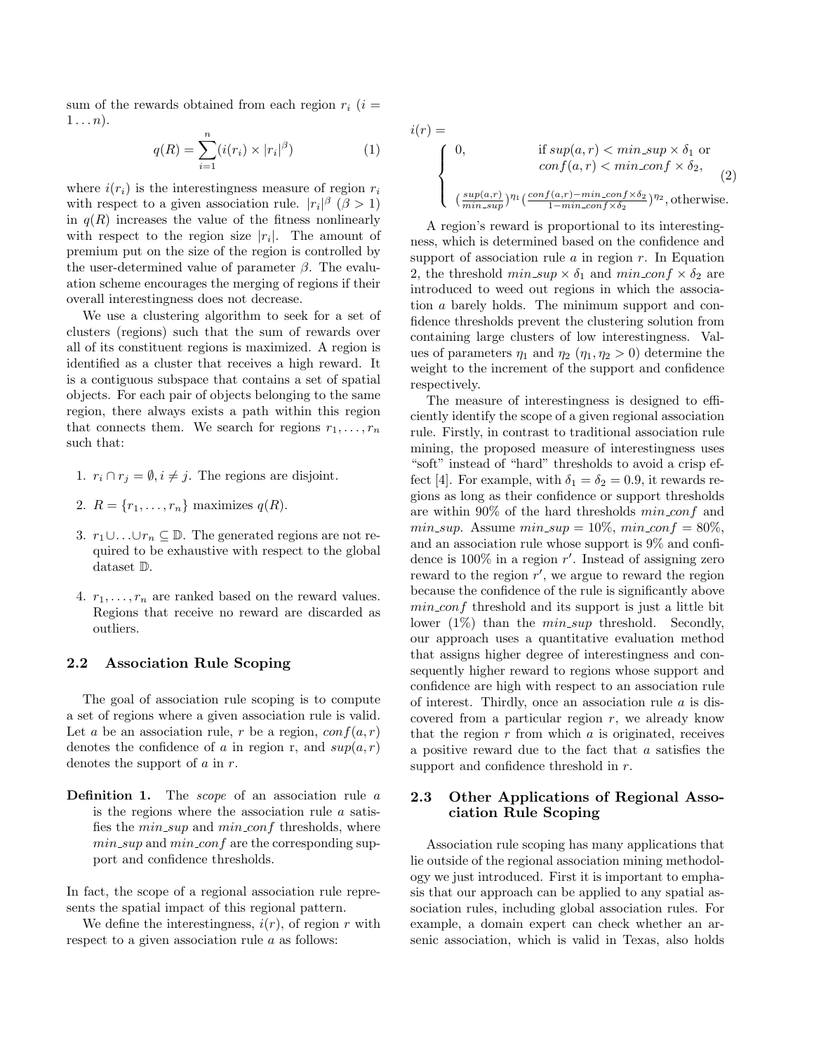sum of the rewards obtained from each region  $r_i$  (i =  $1 \ldots n$ ).

$$
q(R) = \sum_{i=1}^{n} (i(r_i) \times |r_i|^{\beta})
$$
 (1)

where  $i(r_i)$  is the interestingness measure of region  $r_i$ with respect to a given association rule.  $|r_i|^{\beta}$  ( $\beta > 1$ ) in  $q(R)$  increases the value of the fitness nonlinearly with respect to the region size  $|r_i|$ . The amount of premium put on the size of the region is controlled by the user-determined value of parameter  $\beta$ . The evaluation scheme encourages the merging of regions if their overall interestingness does not decrease.

We use a clustering algorithm to seek for a set of clusters (regions) such that the sum of rewards over all of its constituent regions is maximized. A region is identified as a cluster that receives a high reward. It is a contiguous subspace that contains a set of spatial objects. For each pair of objects belonging to the same region, there always exists a path within this region that connects them. We search for regions  $r_1, \ldots, r_n$ such that:

- 1.  $r_i \cap r_j = \emptyset, i \neq j$ . The regions are disjoint.
- 2.  $R = \{r_1, \ldots, r_n\}$  maximizes  $q(R)$ .
- 3.  $r_1 \cup \ldots \cup r_n \subseteq \mathbb{D}$ . The generated regions are not required to be exhaustive with respect to the global dataset D.
- 4.  $r_1, \ldots, r_n$  are ranked based on the reward values. Regions that receive no reward are discarded as outliers.

### 2.2 Association Rule Scoping

The goal of association rule scoping is to compute a set of regions where a given association rule is valid. Let a be an association rule, r be a region,  $conf(a, r)$ denotes the confidence of a in region r, and  $sup(a, r)$ denotes the support of a in r.

**Definition 1.** The *scope* of an association rule  $a$ is the regions where the association rule  $a$  satisfies the  $min\_sup$  and  $min\_conf$  thresholds, where  $min\_sup$  and  $min\_conf$  are the corresponding support and confidence thresholds.

In fact, the scope of a regional association rule represents the spatial impact of this regional pattern.

We define the interestingness,  $i(r)$ , of region r with respect to a given association rule a as follows:

$$
i(r) = \begin{cases} 0, & \text{if } sup(a,r) < min\_sup \times \delta_1 \text{ or} \\ & conf(a,r) < min\_conf \times \delta_2, \\ & (\frac{sup(a,r)}{min\_sup})^{\eta_1} (\frac{conf(a,r) - min\_conf \times \delta_2}{1 - min\_conf \times \delta_2})^{\eta_2}, \text{otherwise.} \end{cases}
$$

A region's reward is proportional to its interestingness, which is determined based on the confidence and support of association rule  $a$  in region  $r$ . In Equation 2, the threshold  $min\_sup \times \delta_1$  and  $min\_conf \times \delta_2$  are introduced to weed out regions in which the association a barely holds. The minimum support and confidence thresholds prevent the clustering solution from containing large clusters of low interestingness. Values of parameters  $\eta_1$  and  $\eta_2$  ( $\eta_1, \eta_2 > 0$ ) determine the weight to the increment of the support and confidence respectively.

The measure of interestingness is designed to efficiently identify the scope of a given regional association rule. Firstly, in contrast to traditional association rule mining, the proposed measure of interestingness uses "soft" instead of "hard" thresholds to avoid a crisp effect [4]. For example, with  $\delta_1 = \delta_2 = 0.9$ , it rewards regions as long as their confidence or support thresholds are within 90% of the hard thresholds  $min\_conf$  and  $min\_sup$ . Assume  $min\_sup = 10\%$ ,  $min\_conf = 80\%$ , and an association rule whose support is 9% and confidence is  $100\%$  in a region r'. Instead of assigning zero reward to the region  $r'$ , we argue to reward the region because the confidence of the rule is significantly above  $min\_conf$  threshold and its support is just a little bit lower  $(1\%)$  than the  $min\_sup$  threshold. Secondly, our approach uses a quantitative evaluation method that assigns higher degree of interestingness and consequently higher reward to regions whose support and confidence are high with respect to an association rule of interest. Thirdly, once an association rule  $\alpha$  is discovered from a particular region  $r$ , we already know that the region  $r$  from which  $\alpha$  is originated, receives a positive reward due to the fact that a satisfies the support and confidence threshold in  $r$ .

### 2.3 Other Applications of Regional Association Rule Scoping

Association rule scoping has many applications that lie outside of the regional association mining methodology we just introduced. First it is important to emphasis that our approach can be applied to any spatial association rules, including global association rules. For example, a domain expert can check whether an arsenic association, which is valid in Texas, also holds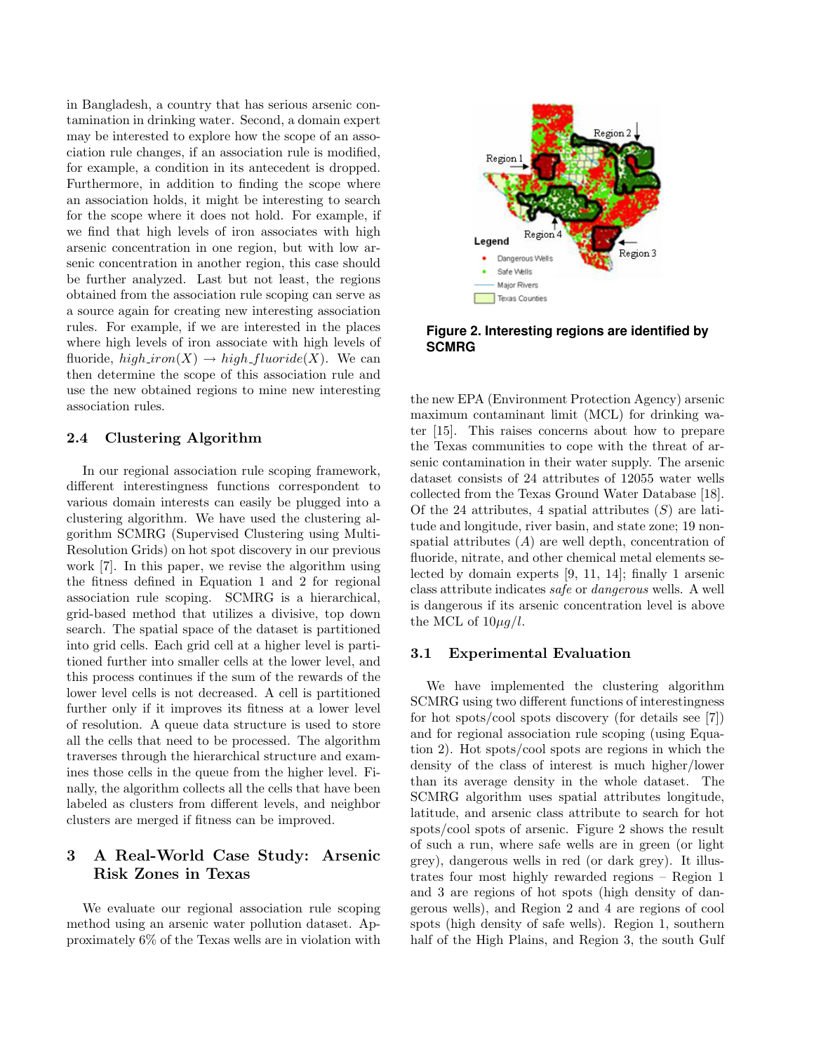in Bangladesh, a country that has serious arsenic contamination in drinking water. Second, a domain expert may be interested to explore how the scope of an association rule changes, if an association rule is modified, for example, a condition in its antecedent is dropped. Furthermore, in addition to finding the scope where an association holds, it might be interesting to search for the scope where it does not hold. For example, if we find that high levels of iron associates with high arsenic concentration in one region, but with low arsenic concentration in another region, this case should be further analyzed. Last but not least, the regions obtained from the association rule scoping can serve as a source again for creating new interesting association rules. For example, if we are interested in the places where high levels of iron associate with high levels of fluoride,  $high\_iron(X) \rightarrow high\_fluoride(X)$ . We can then determine the scope of this association rule and use the new obtained regions to mine new interesting association rules.

#### 2.4 Clustering Algorithm

In our regional association rule scoping framework, different interestingness functions correspondent to various domain interests can easily be plugged into a clustering algorithm. We have used the clustering algorithm SCMRG (Supervised Clustering using Multi-Resolution Grids) on hot spot discovery in our previous work [7]. In this paper, we revise the algorithm using the fitness defined in Equation 1 and 2 for regional association rule scoping. SCMRG is a hierarchical, grid-based method that utilizes a divisive, top down search. The spatial space of the dataset is partitioned into grid cells. Each grid cell at a higher level is partitioned further into smaller cells at the lower level, and this process continues if the sum of the rewards of the lower level cells is not decreased. A cell is partitioned further only if it improves its fitness at a lower level of resolution. A queue data structure is used to store all the cells that need to be processed. The algorithm traverses through the hierarchical structure and examines those cells in the queue from the higher level. Finally, the algorithm collects all the cells that have been labeled as clusters from different levels, and neighbor clusters are merged if fitness can be improved.

### 3 A Real-World Case Study: Arsenic Risk Zones in Texas

We evaluate our regional association rule scoping method using an arsenic water pollution dataset. Approximately 6% of the Texas wells are in violation with



**Figure 2. Interesting regions are identified by SCMRG**

the new EPA (Environment Protection Agency) arsenic maximum contaminant limit (MCL) for drinking water [15]. This raises concerns about how to prepare the Texas communities to cope with the threat of arsenic contamination in their water supply. The arsenic dataset consists of 24 attributes of 12055 water wells collected from the Texas Ground Water Database [18]. Of the 24 attributes, 4 spatial attributes  $(S)$  are latitude and longitude, river basin, and state zone; 19 nonspatial attributes  $(A)$  are well depth, concentration of fluoride, nitrate, and other chemical metal elements selected by domain experts [9, 11, 14]; finally 1 arsenic class attribute indicates safe or dangerous wells. A well is dangerous if its arsenic concentration level is above the MCL of  $10\mu g/l$ .

#### 3.1 Experimental Evaluation

We have implemented the clustering algorithm SCMRG using two different functions of interestingness for hot spots/cool spots discovery (for details see [7]) and for regional association rule scoping (using Equation 2). Hot spots/cool spots are regions in which the density of the class of interest is much higher/lower than its average density in the whole dataset. The SCMRG algorithm uses spatial attributes longitude, latitude, and arsenic class attribute to search for hot spots/cool spots of arsenic. Figure 2 shows the result of such a run, where safe wells are in green (or light grey), dangerous wells in red (or dark grey). It illustrates four most highly rewarded regions – Region 1 and 3 are regions of hot spots (high density of dangerous wells), and Region 2 and 4 are regions of cool spots (high density of safe wells). Region 1, southern half of the High Plains, and Region 3, the south Gulf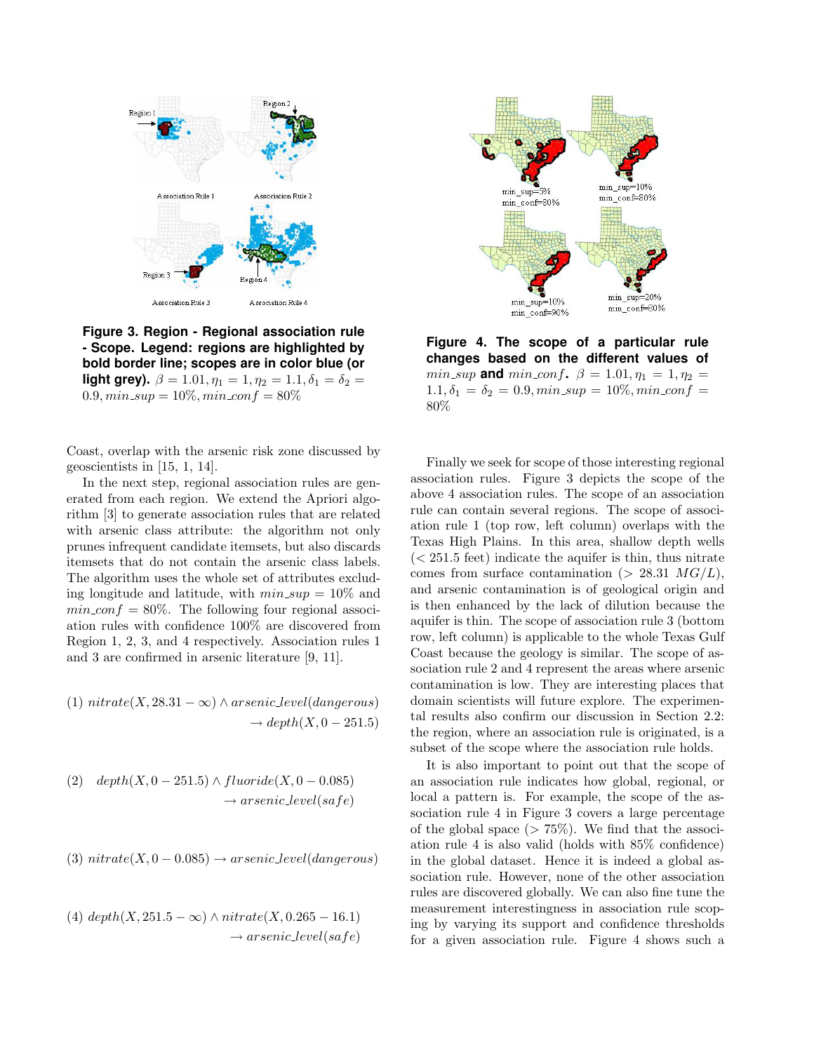

**Figure 3. Region - Regional association rule - Scope. Legend: regions are highlighted by bold border line; scopes are in color blue (or light grey).**  $\beta = 1.01, \eta_1 = 1, \eta_2 = 1.1, \delta_1 = \delta_2 =$ 0.9,  $min\_sup = 10\%, min\_conf = 80\%$ 

Coast, overlap with the arsenic risk zone discussed by geoscientists in [15, 1, 14].

In the next step, regional association rules are generated from each region. We extend the Apriori algorithm [3] to generate association rules that are related with arsenic class attribute: the algorithm not only prunes infrequent candidate itemsets, but also discards itemsets that do not contain the arsenic class labels. The algorithm uses the whole set of attributes excluding longitude and latitude, with  $min\_sup = 10\%$  and  $min\_conf = 80\%$ . The following four regional association rules with confidence 100% are discovered from Region 1, 2, 3, and 4 respectively. Association rules 1 and 3 are confirmed in arsenic literature [9, 11].

(1)  $nitrate(X, 28.31 - \infty) \wedge arsenic\_level(dangerous)$  $\rightarrow depth(X, 0 - 251.5)$ 

(2) 
$$
depth(X, 0-251.5) \land fluoride(X, 0-0.085) \rightarrow arsenic-level(safe)
$$

(3)  $nitrate(X, 0 - 0.085) \rightarrow arsenic\_level(dangerous)$ 

(4)  $depth(X, 251.5 - \infty) \land nitrate(X, 0.265 - 16.1)$  $\rightarrow arsenic\_level(safe)$ 



**Figure 4. The scope of a particular rule changes based on the different values of**  $min\_sup$  **and**  $min\_conf$ .  $\beta = 1.01, \eta_1 = 1, \eta_2 =$  $1.1, \delta_1 = \delta_2 = 0.9, min\_sup = 10\%, min\_conf =$ 80%

Finally we seek for scope of those interesting regional association rules. Figure 3 depicts the scope of the above 4 association rules. The scope of an association rule can contain several regions. The scope of association rule 1 (top row, left column) overlaps with the Texas High Plains. In this area, shallow depth wells  $(< 251.5$  feet) indicate the aquifer is thin, thus nitrate comes from surface contamination ( $> 28.31$   $MG/L$ ), and arsenic contamination is of geological origin and is then enhanced by the lack of dilution because the aquifer is thin. The scope of association rule 3 (bottom row, left column) is applicable to the whole Texas Gulf Coast because the geology is similar. The scope of association rule 2 and 4 represent the areas where arsenic contamination is low. They are interesting places that domain scientists will future explore. The experimental results also confirm our discussion in Section 2.2: the region, where an association rule is originated, is a subset of the scope where the association rule holds.

It is also important to point out that the scope of an association rule indicates how global, regional, or local a pattern is. For example, the scope of the association rule 4 in Figure 3 covers a large percentage of the global space  $(> 75\%)$ . We find that the association rule 4 is also valid (holds with 85% confidence) in the global dataset. Hence it is indeed a global association rule. However, none of the other association rules are discovered globally. We can also fine tune the measurement interestingness in association rule scoping by varying its support and confidence thresholds for a given association rule. Figure 4 shows such a